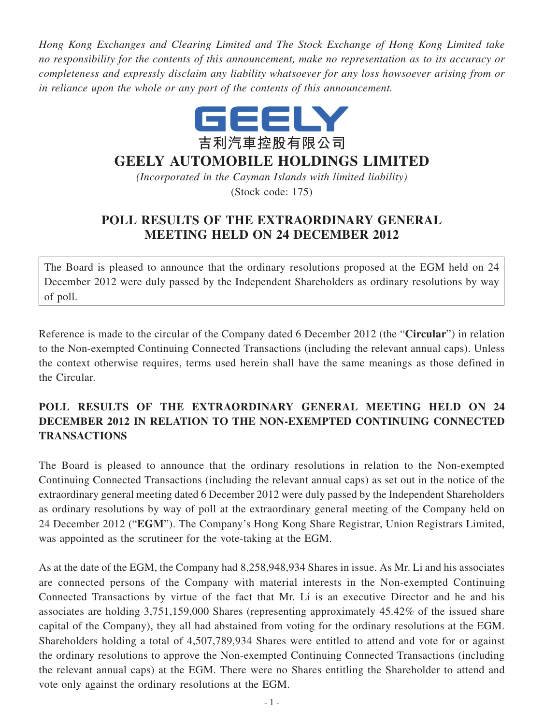*Hong Kong Exchanges and Clearing Limited and The Stock Exchange of Hong Kong Limited take no responsibility for the contents of this announcement, make no representation as to its accuracy or completeness and expressly disclaim any liability whatsoever for any loss howsoever arising from or in reliance upon the whole or any part of the contents of this announcement.*



## **GEELY AUTOMOBILE HOLDINGS LIMITED**

*(Incorporated in the Cayman Islands with limited liability)* (Stock code: 175)

## **POLL RESULTS OF THE EXTRAORDINARY GENERAL MEETING HELD ON 24 DECEMBER 2012**

The Board is pleased to announce that the ordinary resolutions proposed at the EGM held on 24 December 2012 were duly passed by the Independent Shareholders as ordinary resolutions by way of poll.

Reference is made to the circular of the Company dated 6 December 2012 (the "**Circular**") in relation to the Non-exempted Continuing Connected Transactions (including the relevant annual caps). Unless the context otherwise requires, terms used herein shall have the same meanings as those defined in the Circular.

## **POLL RESULTS OF THE EXTRAORDINARY GENERAL MEETING HELD ON 24 DECEMBER 2012 IN RELATION TO THE NON-EXEMPTED CONTINUING CONNECTED TRANSACTIONS**

The Board is pleased to announce that the ordinary resolutions in relation to the Non-exempted Continuing Connected Transactions (including the relevant annual caps) as set out in the notice of the extraordinary general meeting dated 6 December 2012 were duly passed by the Independent Shareholders as ordinary resolutions by way of poll at the extraordinary general meeting of the Company held on 24 December 2012 ("**EGM**"). The Company's Hong Kong Share Registrar, Union Registrars Limited, was appointed as the scrutineer for the vote-taking at the EGM.

As at the date of the EGM, the Company had 8,258,948,934 Shares in issue. As Mr. Li and his associates are connected persons of the Company with material interests in the Non-exempted Continuing Connected Transactions by virtue of the fact that Mr. Li is an executive Director and he and his associates are holding 3,751,159,000 Shares (representing approximately 45.42% of the issued share capital of the Company), they all had abstained from voting for the ordinary resolutions at the EGM. Shareholders holding a total of 4,507,789,934 Shares were entitled to attend and vote for or against the ordinary resolutions to approve the Non-exempted Continuing Connected Transactions (including the relevant annual caps) at the EGM. There were no Shares entitling the Shareholder to attend and vote only against the ordinary resolutions at the EGM.